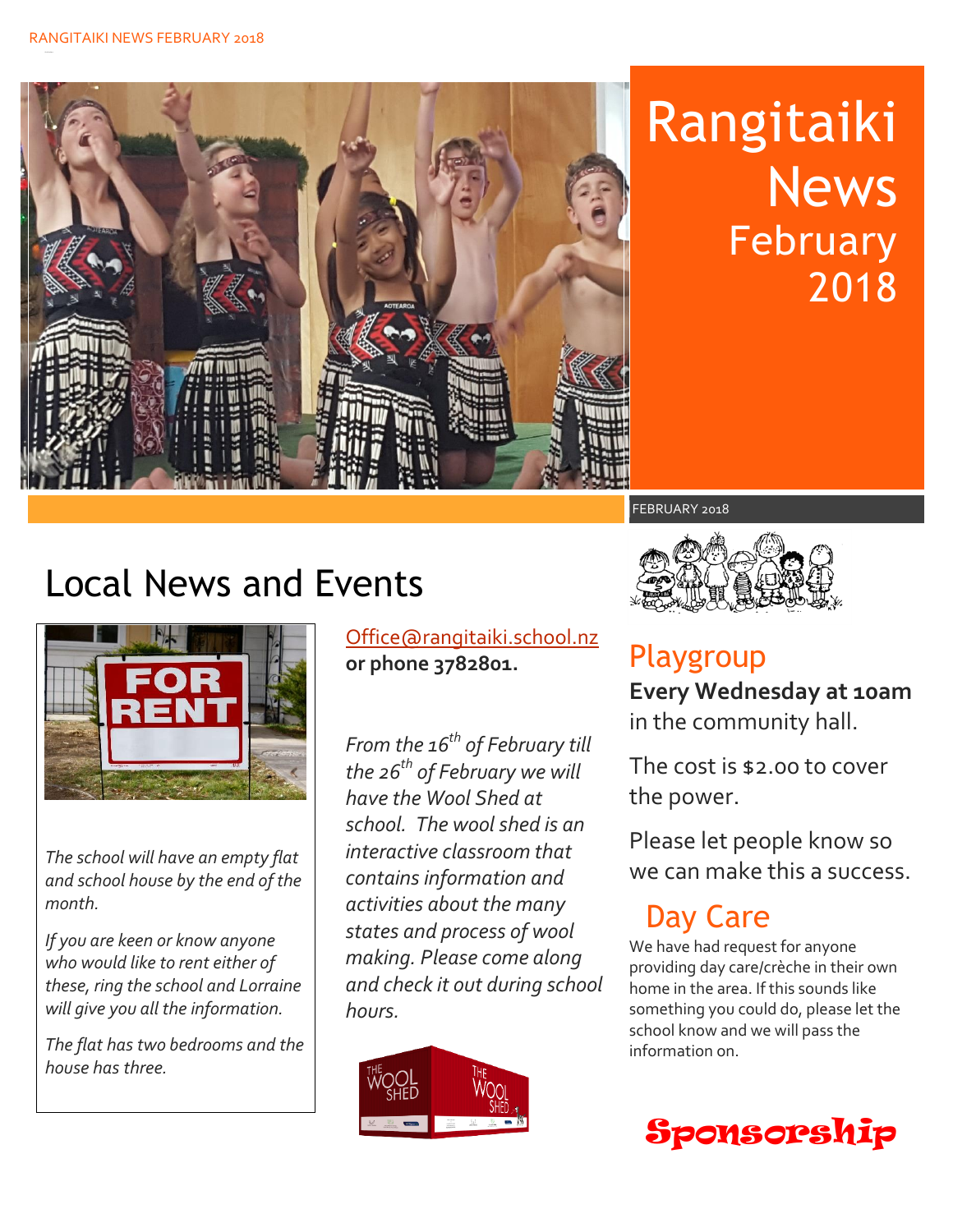

# Rangitaiki **News** February 2018

## Local News and Events



*The school will have an empty flat and school house by the end of the month.* 

*If you are keen or know anyone who would like to rent either of these, ring the school and Lorraine will give you all the information.* 

*The flat has two bedrooms and the house has three.* 

[Office@rangitaiki.school.nz](mailto:Office@rangitaiki.school.nz) **or phone 3782801.**

*From the 16th of February till the 26th of February we will have the Wool Shed at school. The wool shed is an interactive classroom that contains information and activities about the many states and process of wool making. Please come along and check it out during school hours.*





#### Playgroup **Every Wednesday at 10am** in the community hall.

The cost is \$2.00 to cover the power.

Please let people know so we can make this a success.

### Day Care

We have had request for anyone providing day care/crèche in their own home in the area. If this sounds like something you could do, please let the school know and we will pass the information on.